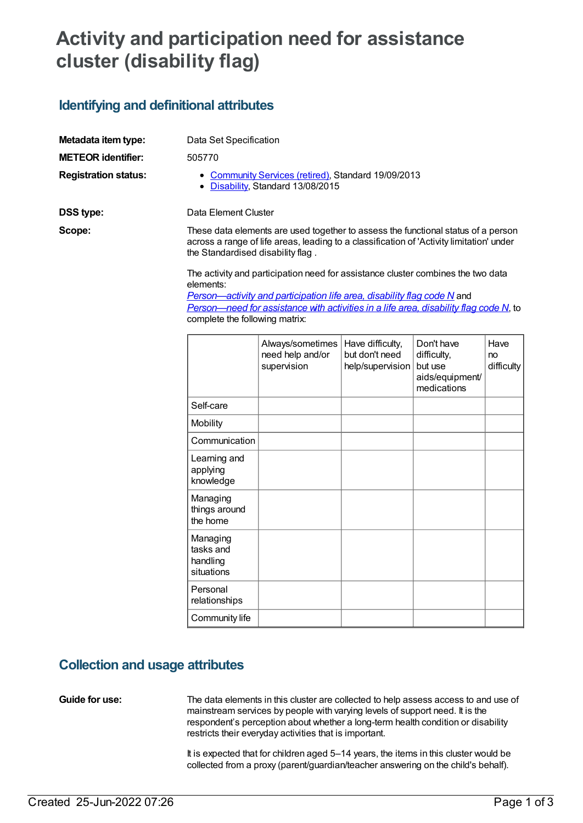# **Activity and participation need for assistance cluster (disability flag)**

### **Identifying and definitional attributes**

| Metadata item type:         | Data Set Specification                                                                                                                                                                                                                                            |                                                     |                                                        |                                                                        |                          |  |  |
|-----------------------------|-------------------------------------------------------------------------------------------------------------------------------------------------------------------------------------------------------------------------------------------------------------------|-----------------------------------------------------|--------------------------------------------------------|------------------------------------------------------------------------|--------------------------|--|--|
| <b>METEOR</b> identifier:   | 505770                                                                                                                                                                                                                                                            |                                                     |                                                        |                                                                        |                          |  |  |
| <b>Registration status:</b> | • Community Services (retired), Standard 19/09/2013<br>• Disability, Standard 13/08/2015                                                                                                                                                                          |                                                     |                                                        |                                                                        |                          |  |  |
| DSS type:                   | Data Element Cluster                                                                                                                                                                                                                                              |                                                     |                                                        |                                                                        |                          |  |  |
| Scope:                      | These data elements are used together to assess the functional status of a person<br>across a range of life areas, leading to a classification of 'Activity limitation' under<br>the Standardised disability flag.                                                |                                                     |                                                        |                                                                        |                          |  |  |
|                             | The activity and participation need for assistance cluster combines the two data<br>elements:<br>Person—activity and participation life area, disability flag code N and<br>Person-need for assistance with activities in a life area, disability flag code N, to |                                                     |                                                        |                                                                        |                          |  |  |
|                             |                                                                                                                                                                                                                                                                   |                                                     |                                                        |                                                                        |                          |  |  |
|                             | complete the following matrix:                                                                                                                                                                                                                                    |                                                     |                                                        |                                                                        |                          |  |  |
|                             |                                                                                                                                                                                                                                                                   | Always/sometimes<br>need help and/or<br>supervision | Have difficulty,<br>but don't need<br>help/supervision | Don't have<br>difficulty,<br>but use<br>aids/equipment/<br>medications | Have<br>no<br>difficulty |  |  |
|                             | Self-care                                                                                                                                                                                                                                                         |                                                     |                                                        |                                                                        |                          |  |  |
|                             | Mobility                                                                                                                                                                                                                                                          |                                                     |                                                        |                                                                        |                          |  |  |
|                             | Communication                                                                                                                                                                                                                                                     |                                                     |                                                        |                                                                        |                          |  |  |
|                             | Learning and<br>applying<br>knowledge                                                                                                                                                                                                                             |                                                     |                                                        |                                                                        |                          |  |  |
|                             | Managing<br>things around<br>the home                                                                                                                                                                                                                             |                                                     |                                                        |                                                                        |                          |  |  |
|                             | Managing<br>tasks and<br>handling<br>situations                                                                                                                                                                                                                   |                                                     |                                                        |                                                                        |                          |  |  |
|                             | Personal<br>relationships                                                                                                                                                                                                                                         |                                                     |                                                        |                                                                        |                          |  |  |

### **Collection and usage attributes**

Community life

**Guide for use:** The data elements in this cluster are collected to help assess access to and use of mainstream services by people with varying levels of support need. It is the respondent's perception about whether a long-term health condition or disability restricts their everyday activities that is important.

> It is expected that for children aged 5–14 years, the items in this cluster would be collected from a proxy (parent/guardian/teacher answering on the child's behalf).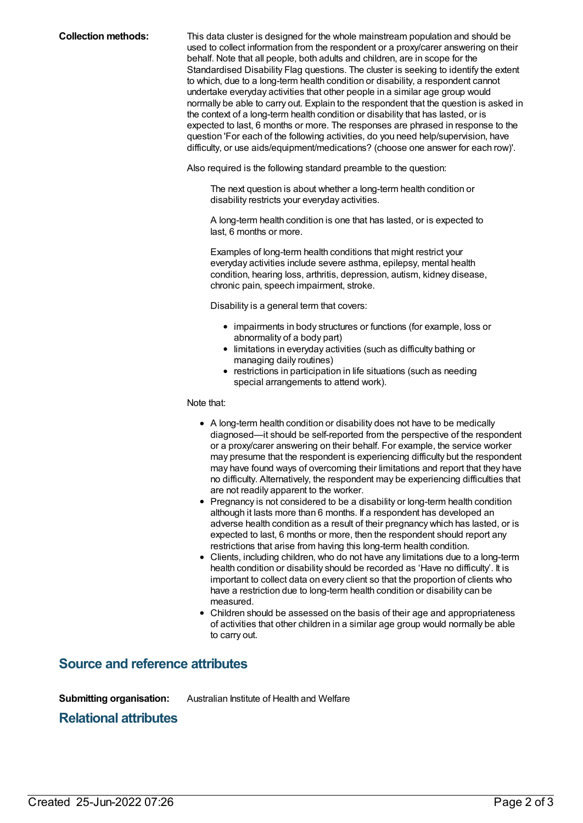**Collection methods:** This data cluster is designed for the whole mainstream population and should be used to collect information from the respondent or a proxy/carer answering on their behalf. Note that all people, both adults and children, are in scope for the Standardised Disability Flag questions. The cluster is seeking to identify the extent to which, due to a long-term health condition or disability, a respondent cannot undertake everyday activities that other people in a similar age group would normally be able to carry out. Explain to the respondent that the question is asked in the context of a long-term health condition or disability that has lasted, or is expected to last, 6 months or more. The responses are phrased in response to the question 'For each of the following activities, do you need help/supervision, have difficulty, or use aids/equipment/medications? (choose one answer for each row)'.

Also required is the following standard preamble to the question:

The next question is about whether a long-term health condition or disability restricts your everyday activities.

A long-term health condition is one that has lasted, or is expected to last, 6 months or more.

Examples of long-term health conditions that might restrict your everyday activities include severe asthma, epilepsy, mental health condition, hearing loss, arthritis, depression, autism, kidney disease, chronic pain, speech impairment, stroke.

Disability is a general term that covers:

- impairments in body structures or functions (for example, loss or abnormality of a body part)
- limitations in everyday activities (such as difficulty bathing or managing daily routines)
- restrictions in participation in life situations (such as needing special arrangements to attend work).

Note that:

- A long-term health condition or disability does not have to be medically diagnosed—it should be self-reported from the perspective of the respondent or a proxy/carer answering on their behalf. For example, the service worker may presume that the respondent is experiencing difficulty but the respondent may have found ways of overcoming their limitations and report that they have no difficulty. Alternatively, the respondent may be experiencing difficulties that are not readily apparent to the worker.
- Pregnancy is not considered to be a disability or long-term health condition although it lasts more than 6 months. If a respondent has developed an adverse health condition as a result of their pregnancy which has lasted, or is expected to last, 6 months or more, then the respondent should report any restrictions that arise from having this long-term health condition.
- Clients, including children, who do not have any limitations due to a long-term health condition or disability should be recorded as 'Have no difficulty'. It is important to collect data on every client so that the proportion of clients who have a restriction due to long-term health condition or disability can be measured.
- Children should be assessed on the basis of their age and appropriateness of activities that other children in a similar age group would normally be able to carry out.

### **Source and reference attributes**

**Submitting organisation:** Australian Institute of Health and Welfare

### **Relational attributes**